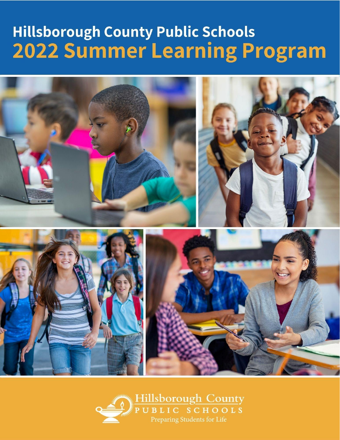# **Hillsborough County Public Schools 2022 Summer Learning Program**



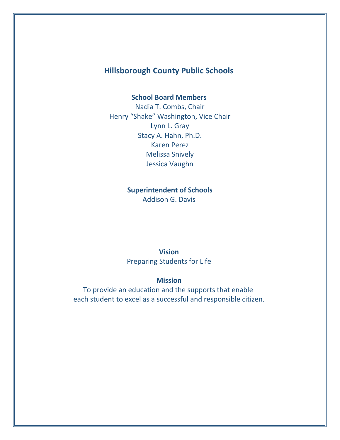### **Hillsborough County Public Schools**

#### **School Board Members**

Nadia T. Combs, Chair Henry "Shake" Washington, Vice Chair Lynn L. Gray Stacy A. Hahn, Ph.D. Karen Perez Melissa Snively Jessica Vaughn

### **Superintendent of Schools**

Addison G. Davis

#### **Vision**

Preparing Students for Life

#### **Mission**

To provide an education and the supports that enable each student to excel as a successful and responsible citizen.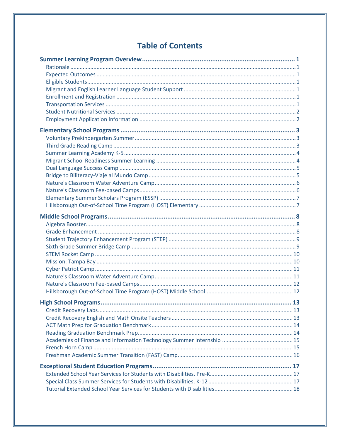### **Table of Contents**

| 13 |
|----|
|    |
|    |
|    |
|    |
|    |
|    |
|    |
|    |
|    |
|    |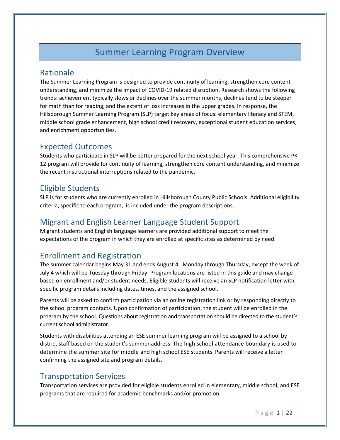### Summer Learning Program Overview

### <span id="page-4-1"></span><span id="page-4-0"></span>Rationale

The Summer Learning Program is designed to provide continuity of learning, strengthen core content understanding, and minimize the impact of COVID-19 related disruption. Research shows the following trends: achievement typically slows or declines over the summer months, declines tend to be steeper for math than for reading, and the extent of loss increases in the upper grades. In response, the Hillsborough Summer Learning Program (SLP) target key areas of focus: elementary literacy and STEM, middle school grade enhancement, high school credit recovery, exceptional student education services, and enrichment opportunities.

### <span id="page-4-2"></span>Expected Outcomes

Students who participate in SLP will be better prepared for the next school year. This comprehensive PK-12 program will provide for continuity of learning, strengthen core content understanding, and minimize the recent instructional interruptions related to the pandemic.

### <span id="page-4-3"></span>Eligible Students

SLP is for students who are currently enrolled in Hillsborough County Public Schools. Additional eligibility criteria, specific to each program, is included under the program descriptions.

### <span id="page-4-4"></span>Migrant and English Learner Language Student Support

Migrant students and English language learners are provided additional support to meet the expectations of the program in which they are enrolled at specific sites as determined by need.

### <span id="page-4-5"></span>Enrollment and Registration

The summer calendar begins May 31 and ends August 4, Monday through Thursday, except the week of July 4 which will be Tuesday through Friday. Program locations are listed in this guide and may change based on enrollment and/or student needs. Eligible students will receive an SLP notification letter with specific program details including dates, times, and the assigned school.

Parents will be asked to confirm participation via an online registration link or by responding directly to the school program contacts. Upon confirmation of participation, the student will be enrolled in the program by the school. Questions about registration and transportation should be directed to the student's current school administrator.

Students with disabilities attending an ESE summer learning program will be assigned to a school by district staff based on the student's summer address. The high school attendance boundary is used to determine the summer site for middle and high school ESE students. Parents will receive a letter confirming the assigned site and program details.

### <span id="page-4-6"></span>Transportation Services

Transportation services are provided for eligible students enrolled in elementary, middle school, and ESE programs that are required for academic benchmarks and/or promotion.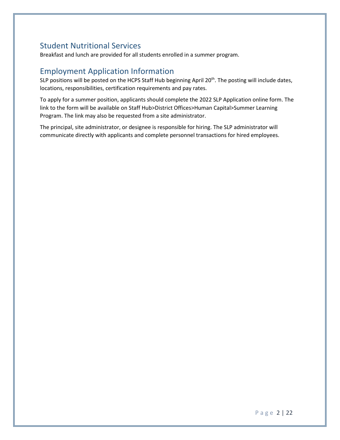### <span id="page-5-0"></span>Student Nutritional Services

Breakfast and lunch are provided for all students enrolled in a summer program.

### <span id="page-5-1"></span>Employment Application Information

SLP positions will be posted on the HCPS Staff Hub beginning April 20<sup>th</sup>. The posting will include dates, locations, responsibilities, certification requirements and pay rates.

To apply for a summer position, applicants should complete the 2022 SLP Application online form. The link to the form will be available on Staff Hub>District Offices>Human Capital>Summer Learning Program. The link may also be requested from a site administrator.

The principal, site administrator, or designee is responsible for hiring. The SLP administrator will communicate directly with applicants and complete personnel transactions for hired employees.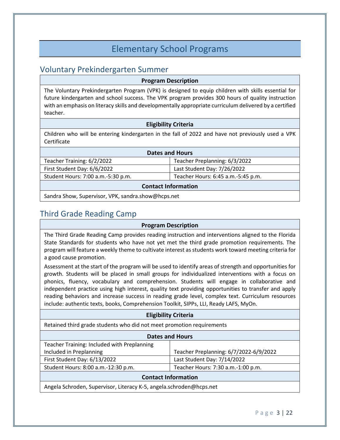### Elementary School Programs

### <span id="page-6-1"></span><span id="page-6-0"></span>Voluntary Prekindergarten Summer

#### **Program Description**

The Voluntary Prekindergarten Program (VPK) is designed to equip children with skills essential for future kindergarten and school success. The VPK program provides 300 hours of quality instruction with an emphasis on literacy skills and developmentally appropriate curriculum delivered by a certified teacher.

#### **Eligibility Criteria**

Children who will be entering kindergarten in the fall of 2022 and have not previously used a VPK Certificate

| <b>Dates and Hours</b>             |                                    |
|------------------------------------|------------------------------------|
| Teacher Training: 6/2/2022         | Teacher Preplanning: 6/3/2022      |
| First Student Day: 6/6/2022        | Last Student Day: 7/26/2022        |
| Student Hours: 7:00 a.m.-5:30 p.m. | Teacher Hours: 6:45 a.m.-5:45 p.m. |
|                                    |                                    |

#### **Contact Information**

Sandra Show, Supervisor, VPK, sandra.show@hcps.net

### <span id="page-6-2"></span>Third Grade Reading Camp

#### **Program Description**

The Third Grade Reading Camp provides reading instruction and interventions aligned to the Florida State Standards for students who have not yet met the third grade promotion requirements. The program will feature a weekly theme to cultivate interest as students work toward meeting criteria for a good cause promotion.

Assessment at the start of the program will be used to identify areas of strength and opportunities for growth. Students will be placed in small groups for individualized interventions with a focus on phonics, fluency, vocabulary and comprehension. Students will engage in collaborative and independent practice using high interest, quality text providing opportunities to transfer and apply reading behaviors and increase success in reading grade level, complex text. Curriculum resources include: authentic texts, books, Comprehension Toolkit, SIPPs, LLI, Ready LAFS, MyOn.

#### **Eligibility Criteria**

Retained third grade students who did not meet promotion requirements

| <b>Dates and Hours</b>                                              |                                        |
|---------------------------------------------------------------------|----------------------------------------|
| Teacher Training: Included with Preplanning                         |                                        |
| Included in Preplanning                                             | Teacher Preplanning: 6/7/2022-6/9/2022 |
| First Student Day: 6/13/2022                                        | Last Student Day: 7/14/2022            |
| Student Hours: 8:00 a.m.-12:30 p.m.                                 | Teacher Hours: 7:30 a.m.-1:00 p.m.     |
| <b>Contact Information</b>                                          |                                        |
| Angela Schroden, Supervisor, Literacy K-5, angela.schroden@hcps.net |                                        |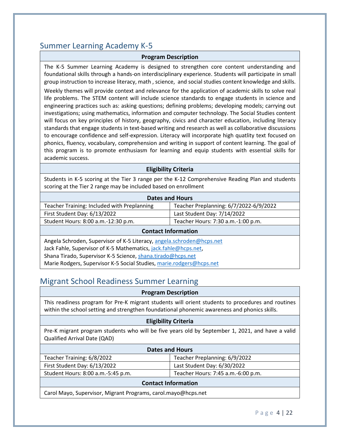### <span id="page-7-0"></span>Summer Learning Academy K-5

#### **Program Description**

The K-5 Summer Learning Academy is designed to strengthen core content understanding and foundational skills through a hands-on interdisciplinary experience. Students will participate in small group instruction to increase literacy, math , science, and social studies content knowledge and skills.

Weekly themes will provide context and relevance for the application of academic skills to solve real life problems. The STEM content will include science standards to engage students in science and engineering practices such as: asking questions; defining problems; developing models; carrying out investigations; using mathematics, information and computer technology. The Social Studies content will focus on key principles of history, geography, civics and character education, including literacy standards that engage students in text-based writing and research as well as collaborative discussions to encourage confidence and self-expression. Literacy will incorporate high quatlity text focused on phonics, fluency, vocabulary, comprehension and writing in support of content learning. The goal of this program is to promote enthusiasm for learning and equip students with essential skills for academic success.

#### **Eligibility Criteria**

Students in K-5 scoring at the Tier 3 range per the K-12 Comprehensive Reading Plan and students scoring at the Tier 2 range may be included based on enrollment

| <b>Dates and Hours</b>                                                |                                        |  |
|-----------------------------------------------------------------------|----------------------------------------|--|
| Teacher Training: Included with Preplanning                           | Teacher Preplanning: 6/7/2022-6/9/2022 |  |
| First Student Day: 6/13/2022                                          | Last Student Day: 7/14/2022            |  |
| Student Hours: 8:00 a.m.-12:30 p.m.                                   | Teacher Hours: 7:30 a.m.-1:00 p.m.     |  |
| <b>Contact Information</b>                                            |                                        |  |
| Angela Schroden, Supervisor of K-5 Literacy, angela.schroden@hcps.net |                                        |  |
| Jack Fahle, Supervisor of K-5 Mathematics, jack.fahle@hcps.net,       |                                        |  |
| Shana Tirado, Supervisor K-5 Science, shana.tirado@hcps.net           |                                        |  |
| Marie Rodgers, Supervisor K-5 Social Studies, marie.rodgers@hcps.net  |                                        |  |

### <span id="page-7-1"></span>Migrant School Readiness Summer Learning

#### **Program Description**

This readiness program for Pre-K migrant students will orient students to procedures and routines within the school setting and strengthen foundational phonemic awareness and phonics skills.

#### **Eligibility Criteria**

Pre-K migrant program students who will be five years old by September 1, 2021, and have a valid Qualified Arrival Date (QAD)

| <b>Dates and Hours</b>             |                                    |  |
|------------------------------------|------------------------------------|--|
| Teacher Training: 6/8/2022         | Teacher Preplanning: 6/9/2022      |  |
| First Student Day: 6/13/2022       | Last Student Day: 6/30/2022        |  |
| Student Hours: 8:00 a.m.-5:45 p.m. | Teacher Hours: 7:45 a.m.-6:00 p.m. |  |
| <b>Contact Information</b>         |                                    |  |

Carol Mayo, Supervisor, Migrant Programs, carol.mayo@hcps.net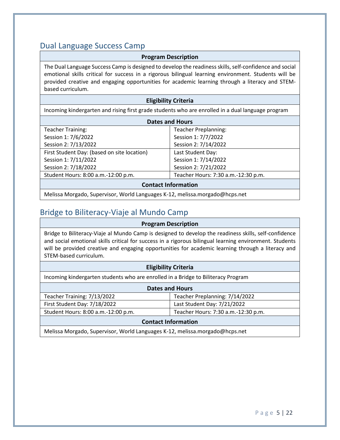### <span id="page-8-0"></span>Dual Language Success Camp

#### **Program Description**

The Dual Language Success Camp is designed to develop the readiness skills, self-confidence and social emotional skills critical for success in a rigorous bilingual learning environment. Students will be provided creative and engaging opportunities for academic learning through a literacy and STEMbased curriculum.

#### **Eligibility Criteria**

Incoming kindergarten and rising first grade students who are enrolled in a dual language program

| <b>Dates and Hours</b>                      |                                     |  |
|---------------------------------------------|-------------------------------------|--|
| <b>Teacher Training:</b>                    | <b>Teacher Preplanning:</b>         |  |
| Session 1: 7/6/2022                         | Session 1: 7/7/2022                 |  |
| Session 2: 7/13/2022                        | Session 2: 7/14/2022                |  |
| First Student Day: (based on site location) | Last Student Day:                   |  |
| Session 1: 7/11/2022                        | Session 1: 7/14/2022                |  |
| Session 2: 7/18/2022                        | Session 2: 7/21/2022                |  |
| Student Hours: 8:00 a.m.-12:00 p.m.         | Teacher Hours: 7:30 a.m.-12:30 p.m. |  |
| <b>Contact Information</b>                  |                                     |  |

Melissa Morgado, Supervisor, World Languages K-12, melissa.morgado@hcps.net

### <span id="page-8-1"></span>Bridge to Biliteracy-Viaje al Mundo Camp

#### **Program Description**

Bridge to Biliteracy-Viaje al Mundo Camp is designed to develop the readiness skills, self-confidence and social emotional skills critical for success in a rigorous bilingual learning environment. Students will be provided creative and engaging opportunities for academic learning through a literacy and STEM-based curriculum.

#### **Eligibility Criteria**

Incoming kindergarten students who are enrolled in a Bridge to Biliteracy Program

| <b>Dates and Hours</b>                                                      |                                     |  |
|-----------------------------------------------------------------------------|-------------------------------------|--|
| Teacher Training: 7/13/2022                                                 | Teacher Preplanning: 7/14/2022      |  |
| First Student Day: 7/18/2022                                                | Last Student Day: 7/21/2022         |  |
| Student Hours: 8:00 a.m.-12:00 p.m.                                         | Teacher Hours: 7:30 a.m.-12:30 p.m. |  |
| <b>Contact Information</b>                                                  |                                     |  |
| Melissa Morgado, Supervisor, World Languages K-12, melissa.morgado@hcps.net |                                     |  |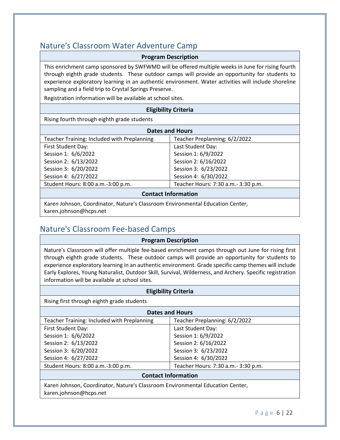### <span id="page-9-0"></span>Nature's Classroom Water Adventure Camp

#### **Program Description**

This enrichment camp sponsored by SWFWMD will be offered multiple weeks in June for rising fourth through eighth grade students. These outdoor camps will provide an opportunity for students to experience exploratory learning in an authentic environment. Water activities will include shoreline sampling and a field trip to Crystal Springs Preserve.

Registration information will be available at school sites.

#### **Eligibility Criteria**

Rising fourth through eighth grade students

| <b>Dates and Hours</b>                                   |                                      |  |
|----------------------------------------------------------|--------------------------------------|--|
| Teacher Training: Included with Preplanning              | Teacher Preplanning: 6/2/2022        |  |
| First Student Day:                                       | Last Student Day:                    |  |
| Session 1: 6/6/2022                                      | Session 1: 6/9/2022                  |  |
| Session 2: 6/13/2022                                     | Session 2: 6/16/2022                 |  |
| Session 3: 6/20/2022                                     | Session 3: 6/23/2022                 |  |
| Session 4: 6/27/2022                                     | Session 4: 6/30/2022                 |  |
| Student Hours: 8:00 a.m.-3:00 p.m.                       | Teacher Hours: 7:30 a.m. - 3:30 p.m. |  |
| <b>Contact Information</b>                               |                                      |  |
| المانية والمتحدث المستحدث المتحدث المتحدث<br>_ . _ _ _ . |                                      |  |

Karen Johnson, Coordinator, Nature's Classroom Environmental Education Center, karen.johnson@hcps.net

### <span id="page-9-1"></span>Nature's Classroom Fee-based Camps

#### **Program Description**

Nature's Classroom will offer multiple fee-based enrichment camps through out June for rising first through eighth grade students. These outdoor camps will provide an opportunity for students to experience exploratory learning in an authentic environment. Grade specific camp themes will include Early Explores, Young Naturalist, Outdoor Skill, Survival, Wilderness, and Archery. Specific registration information will be available at school sites.

| <b>Eligibility Criteria</b>                                                                              |                                      |  |
|----------------------------------------------------------------------------------------------------------|--------------------------------------|--|
| Rising first through eighth grade students                                                               |                                      |  |
| <b>Dates and Hours</b>                                                                                   |                                      |  |
| Teacher Training: Included with Preplanning                                                              | Teacher Preplanning: 6/2/2022        |  |
| First Student Day:                                                                                       | Last Student Day:                    |  |
| Session 1: 6/6/2022                                                                                      | Session 1: 6/9/2022                  |  |
| Session 2: 6/13/2022                                                                                     | Session 2: 6/16/2022                 |  |
| Session 3: 6/20/2022                                                                                     | Session 3: 6/23/2022                 |  |
| Session 4: 6/27/2022                                                                                     | Session 4: 6/30/2022                 |  |
| Student Hours: 8:00 a.m.-3:00 p.m.                                                                       | Teacher Hours: 7:30 a.m. - 3:30 p.m. |  |
| <b>Contact Information</b>                                                                               |                                      |  |
| Karen Johnson, Coordinator, Nature's Classroom Environmental Education Center,<br>karen.johnson@hcps.net |                                      |  |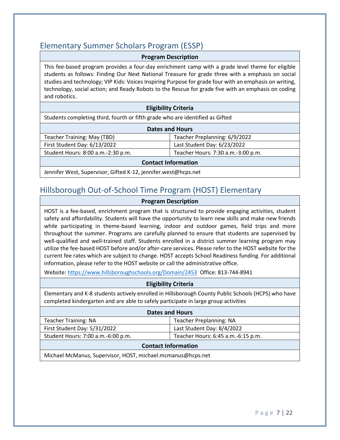### <span id="page-10-0"></span>Elementary Summer Scholars Program (ESSP)

#### **Program Description**

This fee-based program provides a four-day enrichment camp with a grade level theme for eligible students as follows: Finding Our Next National Treasure for grade three with a emphasis on social studies and technology; VIP Kids: Voices Inspiring Purpose for grade four with an emphasis on writing, technology, social action; and Ready Robots to the Rescue for grade five with an emphasis on coding and robotics.

#### **Eligibility Criteria**

Students completing third, fourth or fifth grade who are identified as Gifted

| <b>Dates and Hours</b>             |                                    |  |
|------------------------------------|------------------------------------|--|
| Teacher Training: May (TBD)        | Teacher Preplanning: 6/9/2022      |  |
| First Student Day: 6/13/2022       | Last Student Day: 6/23/2022        |  |
| Student Hours: 8:00 a.m.-2:30 p.m. | Teacher Hours: 7:30 a.m.-3:00 p.m. |  |
| <b>Contact Information</b>         |                                    |  |

Jennifer West, Supervisor, Gifted K-12, jennifer.west@hcps.net

### <span id="page-10-1"></span>Hillsborough Out-of-School Time Program (HOST) Elementary

#### **Program Description**

HOST is a fee-based, enrichment program that is structured to provide engaging activities, student safety and affordability. Students will have the opportunity to learn new skills and make new friends while participating in theme-based learning, indoor and outdoor games, field trips and more throughout the summer. Programs are carefully planned to ensure that students are supervised by well-qualified and well-trained staff. Students enrolled in a district summer learning program may utilize the fee-based HOST before and/or after-care services. Please refer to the HOST website for the current fee rates which are subject to change. HOST accepts School Readiness funding. For additional information, please refer to the HOST website or call the administrative office.

Website:<https://www.hillsboroughschools.org/Domain/2453>Office: 813-744-8941

#### **Eligibility Criteria**

Elementary and K-8 students actively enrolled in Hillsborough County Public Schools (HCPS) who have completed kindergarten and are able to safely participate in large group activities

| <b>Dates and Hours</b>             |                                    |  |
|------------------------------------|------------------------------------|--|
| <b>Teacher Training: NA</b>        | <b>Teacher Preplanning: NA</b>     |  |
| First Student Day: 5/31/2022       | Last Student Day: 8/4/2022         |  |
| Student Hours: 7:00 a.m.-6:00 p.m. | Teacher Hours: 6:45 a.m.-6:15 p.m. |  |
| <b>Contact Information</b>         |                                    |  |

Michael McManus, Supervisor, HOST, michael.mcmanus@hcps.net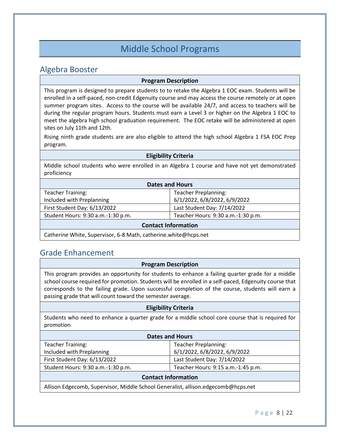### Middle School Programs

### <span id="page-11-1"></span><span id="page-11-0"></span>Algebra Booster

#### **Program Description**

This program is designed to prepare students to to retake the Algebra 1 EOC exam. Students will be enrolled in a self-paced, non-credit Edgenuity course and may access the course remotely or at open summer program sites. Access to the course will be available 24/7, and access to teachers will be during the regular program hours. Students must earn a Level 3 or higher on the Algebra 1 EOC to meet the algebra high school graduation requirement. The EOC retake will be administered at open sites on July 11th and 12th.

Rising ninth grade students are are also eligible to attend the high school Algebra 1 FSA EOC Prep program.

#### **Eligibility Criteria**

Middle school students who were enrolled in an Algebra 1 course and have not yet demonstrated proficiency

| <b>Dates and Hours</b>             |                                    |
|------------------------------------|------------------------------------|
| <b>Teacher Training:</b>           | <b>Teacher Preplanning:</b>        |
| Included with Preplanning          | 6/1/2022, 6/8/2022, 6/9/2022       |
| First Student Day: 6/13/2022       | Last Student Day: 7/14/2022        |
| Student Hours: 9:30 a.m.-1:30 p.m. | Teacher Hours: 9:30 a.m.-1:30 p.m. |
| <b>Contact Information</b>         |                                    |

Catherine White, Supervisor, 6-8 Math, catherine.white@hcps.net

### <span id="page-11-2"></span>Grade Enhancement

#### **Program Description**

This program provides an opportunity for students to enhance a failing quarter grade for a middle school course required for promotion. Students will be enrolled in a self-paced, Edgenuity course that corresponds to the failing grade. Upon successful completion of the course, students will earn a passing grade that will count toward the semester average.

#### **Eligibility Criteria**

Students who need to enhance a quarter grade for a middle school core course that is required for promotion

| <b>Dates and Hours</b>                                                            |                                    |
|-----------------------------------------------------------------------------------|------------------------------------|
| <b>Teacher Training:</b>                                                          | <b>Teacher Preplanning:</b>        |
| Included with Preplanning                                                         | 6/1/2022, 6/8/2022, 6/9/2022       |
| First Student Day: 6/13/2022                                                      | Last Student Day: 7/14/2022        |
| Student Hours: 9:30 a.m.-1:30 p.m.                                                | Teacher Hours: 9:15 a.m.-1:45 p.m. |
| <b>Contact Information</b>                                                        |                                    |
| Allison Edgecomb, Supervisor, Middle School Generalist, allison.edgecomb@hcps.net |                                    |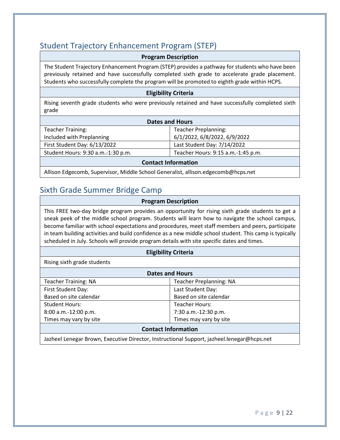### <span id="page-12-0"></span>Student Trajectory Enhancement Program (STEP)

#### **Program Description**

The Student Trajectory Enhancement Program (STEP) provides a pathway for students who have been previously retained and have successfully completed sixth grade to accelerate grade placement. Students who successfully complete the program will be promoted to eighth grade within HCPS.

#### **Eligibility Criteria**

Rising seventh grade students who were previously retained and have successfully completed sixth grade

| <b>Dates and Hours</b>             |                                    |
|------------------------------------|------------------------------------|
| <b>Teacher Training:</b>           | <b>Teacher Preplanning:</b>        |
| Included with Preplanning          | 6/1/2022, 6/8/2022, 6/9/2022       |
| First Student Day: 6/13/2022       | Last Student Day: 7/14/2022        |
| Student Hours: 9:30 a.m.-1:30 p.m. | Teacher Hours: 9:15 a.m.-1:45 p.m. |
| <b>Contact Information</b>         |                                    |

Allison Edgecomb, Supervisor, Middle School Generalist, allison.edgecomb@hcps.net

### <span id="page-12-1"></span>Sixth Grade Summer Bridge Camp

#### **Program Description**

This FREE two-day bridge program provides an opportunity for rising sixth grade students to get a sneak peek of the middle school program. Students will learn how to navigate the school campus, become familiar with school expectations and procedures, meet staff members and peers, participate in team building activities and build confidence as a new middle school student. This camp is typically scheduled in July. Schools will provide program details with site specific dates and times.

#### **Eligibility Criteria**

Rising sixth grade students

| <b>Dates and Hours</b>      |                                |
|-----------------------------|--------------------------------|
| <b>Teacher Training: NA</b> | <b>Teacher Preplanning: NA</b> |
| First Student Day:          | Last Student Day:              |
| Based on site calendar      | Based on site calendar         |
| <b>Student Hours:</b>       | <b>Teacher Hours:</b>          |
| 8:00 a.m.-12:00 p.m.        | 7:30 a.m.-12:30 p.m.           |
| Times may vary by site      | Times may vary by site         |
| <b>Contact Information</b>  |                                |

Jazheel Lenegar Brown, Executive Director, Instructional Support, jazheel.lenegar@hcps.net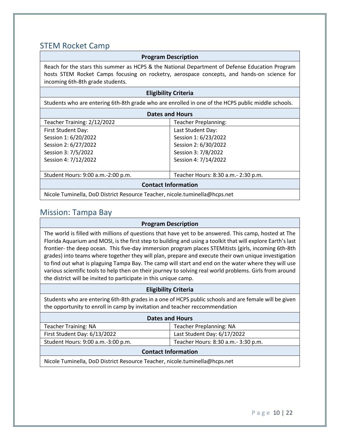### <span id="page-13-0"></span>STEM Rocket Camp

#### **Program Description**

Reach for the stars this summer as HCPS & the National Department of Defense Education Program hosts STEM Rocket Camps focusing on rocketry, aerospace concepts, and hands-on science for incoming 6th-8th grade students.

#### **Eligibility Criteria**

Students who are entering 6th-8th grade who are enrolled in one of the HCPS public middle schools.

| <b>Dates and Hours</b>               |  |
|--------------------------------------|--|
| <b>Teacher Preplanning:</b>          |  |
| Last Student Day:                    |  |
| Session 1: 6/23/2022                 |  |
| Session 2: 6/30/2022                 |  |
| Session 3: 7/8/2022                  |  |
| Session 4: 7/14/2022                 |  |
|                                      |  |
| Teacher Hours: 8:30 a.m. - 2:30 p.m. |  |
| <b>Contact Information</b>           |  |
|                                      |  |

Nicole Tuminella, DoD District Resource Teacher, nicole.tuminella@hcps.net

### <span id="page-13-1"></span>Mission: Tampa Bay

#### **Program Description**

The world is filled with millions of questions that have yet to be answered. This camp, hosted at The Florida Aquarium and MOSI, is the first step to building and using a toolkit that will explore Earth's last frontier- the deep ocean.  This five-day immersion program places STEMitists (girls, incoming 6th-8th grades) into teams where together they will plan, prepare and execute their own unique investigation to find out what is plaguing Tampa Bay. The camp will start and end on the water where they will use various scientific tools to help then on their journey to solving real world problems. Girls from around the district will be invited to participate in this unique camp.

#### **Eligibility Criteria**

Students who are entering 6th-8th grades in a one of HCPS public schools and are female will be given the opportunity to enroll in camp by invitation and teacher reccommendation

| <b>Dates and Hours</b>             |                                      |
|------------------------------------|--------------------------------------|
| <b>Teacher Training: NA</b>        | <b>Teacher Preplanning: NA</b>       |
| First Student Day: 6/13/2022       | Last Student Day: 6/17/2022          |
| Student Hours: 9:00 a.m.-3:00 p.m. | Teacher Hours: 8:30 a.m. - 3:30 p.m. |
| <b>Contact Information</b>         |                                      |
|                                    |                                      |

Nicole Tuminella, DoD District Resource Teacher, nicole.tuminella@hcps.net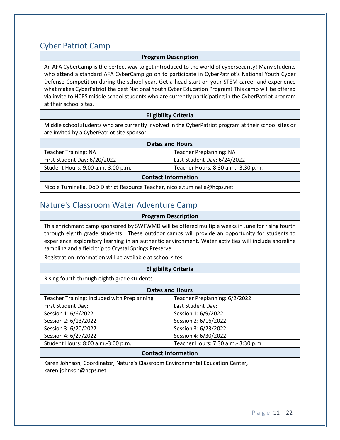### <span id="page-14-0"></span>Cyber Patriot Camp

#### **Program Description**

An AFA CyberCamp is the perfect way to get introduced to the world of cybersecurity! Many students who attend a standard AFA CyberCamp go on to participate in CyberPatriot's National Youth Cyber Defense Competition during the school year. Get a head start on your STEM career and experience what makes CyberPatriot the best National Youth Cyber Education Program! This camp will be offered via invite to HCPS middle school students who are currently participating in the CyberPatriot program at their school sites.

#### **Eligibility Criteria**

Middle school students who are currently involved in the CyberPatriot program at their school sites or are invited by a CyberPatriot site sponsor

| <b>Dates and Hours</b>             |                                      |
|------------------------------------|--------------------------------------|
| <b>Teacher Training: NA</b>        | <b>Teacher Preplanning: NA</b>       |
| First Student Day: 6/20/2022       | Last Student Day: 6/24/2022          |
| Student Hours: 9:00 a.m.-3:00 p.m. | Teacher Hours: 8:30 a.m. - 3:30 p.m. |
| <b>Contact Information</b>         |                                      |

Nicole Tuminella, DoD District Resource Teacher, nicole.tuminella@hcps.net

### <span id="page-14-1"></span>Nature's Classroom Water Adventure Camp

#### **Program Description**

This enrichment camp sponsored by SWFWMD will be offered multiple weeks in June for rising fourth through eighth grade students. These outdoor camps will provide an opportunity for students to experience exploratory learning in an authentic environment. Water activities will include shoreline sampling and a field trip to Crystal Springs Preserve.

Registration information will be available at school sites.

#### **Eligibility Criteria**

Rising fourth through eighth grade students

| <b>Dates and Hours</b>                      |                                     |
|---------------------------------------------|-------------------------------------|
| Teacher Training: Included with Preplanning | Teacher Preplanning: 6/2/2022       |
| First Student Day:                          | Last Student Day:                   |
| Session 1: 6/6/2022                         | Session 1: 6/9/2022                 |
| Session 2: 6/13/2022                        | Session 2: 6/16/2022                |
| Session 3: 6/20/2022                        | Session 3: 6/23/2022                |
| Session 4: 6/27/2022                        | Session 4: 6/30/2022                |
| Student Hours: 8:00 a.m.-3:00 p.m.          | Teacher Hours: 7:30 a.m.- 3:30 p.m. |

#### **Contact Information**

Karen Johnson, Coordinator, Nature's Classroom Environmental Education Center, karen.johnson@hcps.net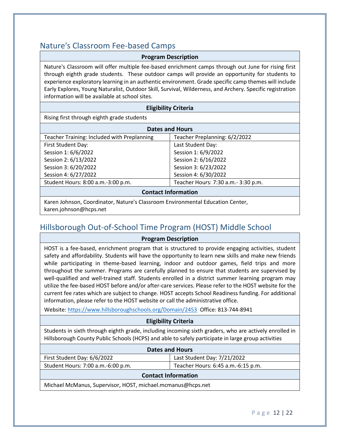### <span id="page-15-0"></span>Nature's Classroom Fee-based Camps

#### **Program Description**

Nature's Classroom will offer multiple fee-based enrichment camps through out June for rising first through eighth grade students. These outdoor camps will provide an opportunity for students to experience exploratory learning in an authentic environment. Grade specific camp themes will include Early Explores, Young Naturalist, Outdoor Skill, Survival, Wilderness, and Archery. Specific registration information will be available at school sites.

#### **Eligibility Criteria**

Rising first through eighth grade students

| <b>Dates and Hours</b>                      |                                     |
|---------------------------------------------|-------------------------------------|
| Teacher Training: Included with Preplanning | Teacher Preplanning: 6/2/2022       |
| First Student Day:                          | Last Student Day:                   |
| Session 1: 6/6/2022                         | Session 1: 6/9/2022                 |
| Session 2: 6/13/2022                        | Session 2: 6/16/2022                |
| Session 3: 6/20/2022                        | Session 3: 6/23/2022                |
| Session 4: 6/27/2022                        | Session 4: 6/30/2022                |
| Student Hours: 8:00 a.m.-3:00 p.m.          | Teacher Hours: 7:30 a.m.- 3:30 p.m. |
| <b>Contact Information</b>                  |                                     |

Karen Johnson, Coordinator, Nature's Classroom Environmental Education Center, karen.johnson@hcps.net

### <span id="page-15-1"></span>Hillsborough Out-of-School Time Program (HOST) Middle School

**Program Description**

HOST is a fee-based, enrichment program that is structured to provide engaging activities, student safety and affordability. Students will have the opportunity to learn new skills and make new friends while participating in theme-based learning, indoor and outdoor games, field trips and more throughout the summer. Programs are carefully planned to ensure that students are supervised by well-qualified and well-trained staff. Students enrolled in a district summer learning program may utilize the fee-based HOST before and/or after-care services. Please refer to the HOST website for the current fee rates which are subject to change. HOST accepts School Readiness funding. For additional information, please refer to the HOST website or call the administrative office.

Website:<https://www.hillsboroughschools.org/Domain/2453>Office: 813-744-8941

#### **Eligibility Criteria**

Students in sixth through eighth grade, including incoming sixth graders, who are actively enrolled in Hillsborough County Public Schools (HCPS) and able to safely participate in large group activities

| <b>Dates and Hours</b>                                      |                                    |  |
|-------------------------------------------------------------|------------------------------------|--|
| First Student Day: 6/6/2022                                 | Last Student Day: 7/21/2022        |  |
| Student Hours: 7:00 a.m.-6:00 p.m.                          | Teacher Hours: 6:45 a.m.-6:15 p.m. |  |
| <b>Contact Information</b>                                  |                                    |  |
| Michael McManus, Supervisor, HOST, michael.mcmanus@hcps.net |                                    |  |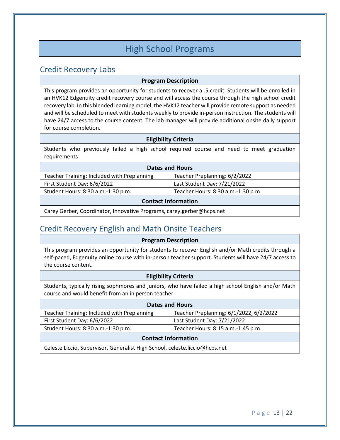### High School Programs

### <span id="page-16-1"></span><span id="page-16-0"></span>Credit Recovery Labs

#### **Program Description**

This program provides an opportunity for students to recover a .5 credit. Students will be enrolled in an HVK12 Edgenuity credit recovery course and will access the course through the high school credit recovery lab. In this blended learning model, the HVK12 teacher will provide remote support as needed and will be scheduled to meet with students weekly to provide in-person instruction. The students will have 24/7 access to the course content. The lab manager will provide additional onsite daily support for course completion.

#### **Eligibility Criteria**

Students who previously failed a high school required course and need to meet graduation requirements

| <b>Dates and Hours</b>                                                |                                    |  |
|-----------------------------------------------------------------------|------------------------------------|--|
| Teacher Training: Included with Preplanning                           | Teacher Preplanning: 6/2/2022      |  |
| First Student Day: 6/6/2022                                           | Last Student Day: 7/21/2022        |  |
| Student Hours: 8:30 a.m.-1:30 p.m.                                    | Teacher Hours: 8:30 a.m.-1:30 p.m. |  |
| <b>Contact Information</b>                                            |                                    |  |
| Carey Gerber, Coordinator, Innovative Programs, carey.gerber@hcps.net |                                    |  |

### <span id="page-16-2"></span>Credit Recovery English and Math Onsite Teachers

**Program Description**

This program provides an opportunity for students to recover English and/or Math credits through a self-paced, Edgenuity online course with in-person teacher support. Students will have 24/7 access to the course content.

#### **Eligibility Criteria**

Students, typically rising sophmores and juniors, who have failed a high school English and/or Math course and would benefit from an in person teacher

| <b>Dates and Hours</b>                                                      |                                         |
|-----------------------------------------------------------------------------|-----------------------------------------|
| Teacher Training: Included with Preplanning                                 | Teacher Preplanning: 6/1/2022, 6/2/2022 |
| First Student Day: 6/6/2022                                                 | Last Student Day: 7/21/2022             |
| Student Hours: 8:30 a.m.-1:30 p.m.                                          | Teacher Hours: 8:15 a.m.-1:45 p.m.      |
| <b>Contact Information</b>                                                  |                                         |
| Celeste Liccio, Sunervisor, Generalist High School, celeste liccio@hcns.net |                                         |

Celeste Liccio, Supervisor, Generalist High School, celeste.liccio@hcps.net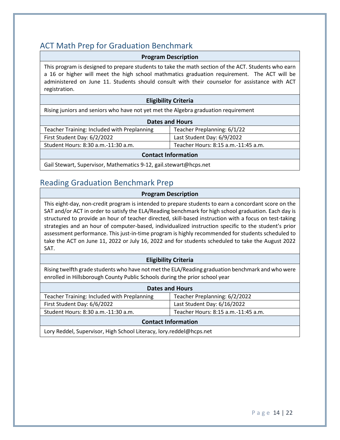### <span id="page-17-0"></span>ACT Math Prep for Graduation Benchmark

#### **Program Description**

This program is designed to prepare students to take the math section of the ACT. Students who earn a 16 or higher will meet the high school mathmatics graduation requirement. The ACT will be administered on June 11. Students should consult with their counselor for assistance with ACT registration.

#### **Eligibility Criteria**

Rising juniors and seniors who have not yet met the Algebra graduation requirement

| <b>Dates and Hours</b>                      |                                     |
|---------------------------------------------|-------------------------------------|
| Teacher Training: Included with Preplanning | Teacher Preplanning: 6/1/22         |
| First Student Day: 6/2/2022                 | Last Student Day: 6/9/2022          |
| Student Hours: 8:30 a.m.-11:30 a.m.         | Teacher Hours: 8:15 a.m.-11:45 a.m. |
| <b>Contact Information</b>                  |                                     |

Gail Stewart, Supervisor, Mathematics 9-12, gail.stewart@hcps.net

### <span id="page-17-1"></span>Reading Graduation Benchmark Prep

#### **Program Description**

This eight-day, non-credit program is intended to prepare students to earn a concordant score on the SAT and/or ACT in order to satisfy the ELA/Reading benchmark for high school graduation. Each day is structured to provide an hour of teacher directed, skill-based instruction with a focus on test-taking strategies and an hour of computer-based, individualized instruction specific to the student's prior assessment performance. This just-in-time program is highly recommended for students scheduled to take the ACT on June 11, 2022 or July 16, 2022 and for students scheduled to take the August 2022 SAT.

#### **Eligibility Criteria**

Rising twelfth grade students who have not met the ELA/Reading graduation benchmark and who were enrolled in Hillsborough County Public Schools during the prior school year

| <b>Dates and Hours</b>                                        |                                     |  |
|---------------------------------------------------------------|-------------------------------------|--|
| Teacher Training: Included with Preplanning                   | Teacher Preplanning: 6/2/2022       |  |
| First Student Day: 6/6/2022                                   | Last Student Day: 6/16/2022         |  |
| Student Hours: 8:30 a.m.-11:30 a.m.                           | Teacher Hours: 8:15 a.m.-11:45 a.m. |  |
| <b>Contact Information</b>                                    |                                     |  |
| LancBaddel Cunamicar High Cebaal Literaau Jamreeddel@bene net |                                     |  |

Lory Reddel, Supervisor, High School Literacy, lory.reddel@hcps.net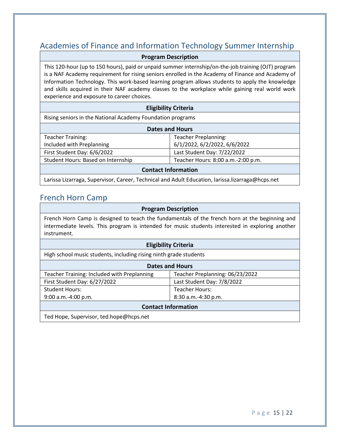### <span id="page-18-0"></span>Academies of Finance and Information Technology Summer Internship

**Program Description**

This 120-hour (up to 150 hours), paid or unpaid summer internship/on-the-job training (OJT) program is a NAF Academy requirement for rising seniors enrolled in the Academy of Finance and Academy of Information Technology. This work-based learning program allows students to apply the knowledge and skills acquired in their NAF academy classes to the workplace while gaining real world work experience and exposure to career choices.

#### **Eligibility Criteria**

Rising seniors in the National Academy Foundation programs

| <b>Dates and Hours</b>             |                                    |
|------------------------------------|------------------------------------|
| <b>Teacher Training:</b>           | <b>Teacher Preplanning:</b>        |
| Included with Preplanning          | 6/1/2022, 6/2/2022, 6/6/2022       |
| First Student Day: 6/6/2022        | Last Student Day: 7/22/2022        |
| Student Hours: Based on Internship | Teacher Hours: 8:00 a.m.-2:00 p.m. |
| <b>Contact Information</b>         |                                    |

#### Larissa Lizarraga, Supervisor, Career, Technical and Adult Education, larissa.lizarraga@hcps.net

### <span id="page-18-1"></span>French Horn Camp

#### **Program Description**

French Horn Camp is designed to teach the fundamentals of the french horn at the beginning and intermediate levels. This program is intended for music students interested in exploring another instrument.

#### **Eligibility Criteria**

High school music students, including rising ninth grade students

| <b>Dates and Hours</b>                      |                                 |  |
|---------------------------------------------|---------------------------------|--|
| Teacher Training: Included with Preplanning | Teacher Preplanning: 06/23/2022 |  |
| First Student Day: 6/27/2022                | Last Student Day: 7/8/2022      |  |
| <b>Student Hours:</b>                       | <b>Teacher Hours:</b>           |  |
| $9:00$ a.m.-4:00 p.m.                       | 8:30 a.m.-4:30 p.m.             |  |
| <b>Contact Information</b>                  |                                 |  |

Ted Hope, Supervisor, ted.hope@hcps.net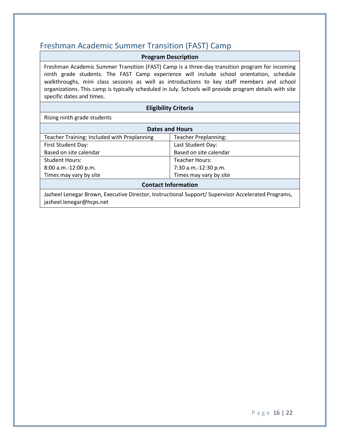### <span id="page-19-0"></span>Freshman Academic Summer Transition (FAST) Camp

#### **Program Description**

Freshman Academic Summer Transition (FAST) Camp is a three-day transition program for incoming ninth grade students. The FAST Camp experience will include school orientation, schedule walkthroughs, mini class sessions as well as introductions to key staff members and school organizations. This camp is typically scheduled in July. Schools will provide program details with site specific dates and times.

#### **Eligibility Criteria**

Rising ninth grade students

| <b>Dates and Hours</b>                      |                             |  |
|---------------------------------------------|-----------------------------|--|
| Teacher Training: Included with Preplanning | <b>Teacher Preplanning:</b> |  |
| First Student Day:                          | Last Student Day:           |  |
| Based on site calendar                      | Based on site calendar      |  |
| <b>Student Hours:</b>                       | <b>Teacher Hours:</b>       |  |
| 8:00 a.m.-12:00 p.m.                        | 7:30 a.m.-12:30 p.m.        |  |
| Times may vary by site                      | Times may vary by site      |  |
| <b>Contact Information</b>                  |                             |  |

#### **Contact Information**

Jazheel Lenegar Brown, Executive Director, Instructional Support/ Supervisor Accelerated Programs, jazheel.lenegar@hcps.net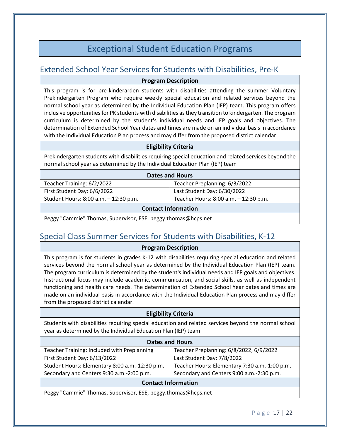### Exceptional Student Education Programs

### <span id="page-20-1"></span><span id="page-20-0"></span>Extended School Year Services for Students with Disabilities, Pre-K

#### **Program Description**

This program is for pre-kinderarden students with disabilities attending the summer Voluntary Prekindergarten Program who require weekly special education and related services beyond the normal school year as determined by the Individual Education Plan (IEP) team. This program offers inclusive opportunities for PK students with disabilities as they transition to kindergarten. The program curriculum is determined by the student's individual needs and IEP goals and objectives. The determination of Extended School Year dates and times are made on an individual basis in accordance with the Individual Education Plan process and may differ from the proposed district calendar.

#### **Eligibility Criteria**

Prekindergarten students with disabilities requiring special education and related services beyond the normal school year as determined by the Individual Education Plan (IEP) team

| <b>Dates and Hours</b>                |                                       |  |
|---------------------------------------|---------------------------------------|--|
| Teacher Training: 6/2/2022            | Teacher Preplanning: 6/3/2022         |  |
| First Student Day: 6/6/2022           | Last Student Day: 6/30/2022           |  |
| Student Hours: 8:00 a.m. - 12:30 p.m. | Teacher Hours: 8:00 a.m. - 12:30 p.m. |  |

#### **Contact Information**

Peggy "Cammie" Thomas, Supervisor, ESE, peggy.thomas@hcps.net

### <span id="page-20-2"></span>Special Class Summer Services for Students with Disabilities, K-12

#### **Program Description**

This program is for students in grades K-12 with disabilities requiring special education and related services beyond the normal school year as determined by the Individual Education Plan (IEP) team. The program curriculum is determined by the student's individual needs and IEP goals and objectives. Instructional focus may include academic, communication, and social skills, as well as independent functioning and health care needs. The determination of Extended School Year dates and times are made on an individual basis in accordance with the Individual Education Plan process and may differ from the proposed district calendar.

#### **Eligibility Criteria**

Students with disabilities requiring special education and related services beyond the normal school year as determined by the Individual Education Plan (IEP) team

| <b>Dates and Hours</b>                         |                                               |  |
|------------------------------------------------|-----------------------------------------------|--|
| Teacher Training: Included with Preplanning    | Teacher Preplanning: 6/8/2022, 6/9/2022       |  |
| First Student Day: 6/13/2022                   | Last Student Day: 7/8/2022                    |  |
| Student Hours: Elementary 8:00 a.m.-12:30 p.m. | Teacher Hours: Elementary 7:30 a.m.-1:00 p.m. |  |
| Secondary and Centers 9:30 a.m.-2:00 p.m.      | Secondary and Centers 9:00 a.m.-2:30 p.m.     |  |
|                                                |                                               |  |

#### **Contact Information**

Peggy "Cammie" Thomas, Supervisor, ESE, peggy.thomas@hcps.net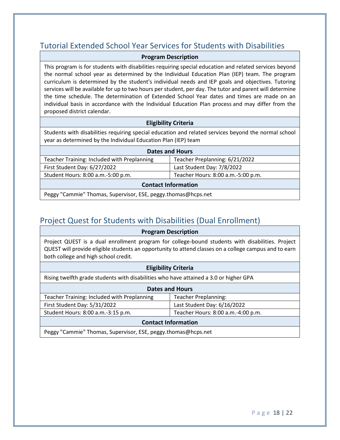### <span id="page-21-0"></span>Tutorial Extended School Year Services for Students with Disabilities

#### **Program Description**

This program is for students with disabilities requiring special education and related services beyond the normal school year as determined by the Individual Education Plan (IEP) team. The program curriculum is determined by the student's individual needs and IEP goals and objectives. Tutoring services will be available for up to two hours per student, per day. The tutor and parent will determine the time schedule. The determination of Extended School Year dates and times are made on an individual basis in accordance with the Individual Education Plan process and may differ from the proposed district calendar.

#### **Eligibility Criteria**

Students with disabilities requiring special education and related services beyond the normal school year as determined by the Individual Education Plan (IEP) team

| <b>Dates and Hours</b>                             |                                    |  |
|----------------------------------------------------|------------------------------------|--|
| <b>Teacher Training: Included with Preplanning</b> | Teacher Preplanning: 6/21/2022     |  |
| First Student Day: 6/27/2022                       | Last Student Day: 7/8/2022         |  |
| Student Hours: 8:00 a.m.-5:00 p.m.                 | Teacher Hours: 8:00 a.m.-5:00 p.m. |  |
| <b>Contact Information</b>                         |                                    |  |

Peggy "Cammie" Thomas, Supervisor, ESE, peggy.thomas@hcps.net

### <span id="page-21-1"></span>Project Quest for Students with Disabilities (Dual Enrollment)

| <b>Program Description</b>                                                                                                                                                                                                                        |                                    |  |
|---------------------------------------------------------------------------------------------------------------------------------------------------------------------------------------------------------------------------------------------------|------------------------------------|--|
| Project QUEST is a dual enrollment program for college-bound students with disabilities. Project<br>QUEST will provide eligible students an opportunity to attend classes on a college campus and to earn<br>both college and high school credit. |                                    |  |
| <b>Eligibility Criteria</b>                                                                                                                                                                                                                       |                                    |  |
| Rising twelfth grade students with disabilities who have attained a 3.0 or higher GPA                                                                                                                                                             |                                    |  |
| <b>Dates and Hours</b>                                                                                                                                                                                                                            |                                    |  |
| <b>Teacher Training: Included with Preplanning</b>                                                                                                                                                                                                | <b>Teacher Preplanning:</b>        |  |
| First Student Day: 5/31/2022                                                                                                                                                                                                                      | Last Student Day: 6/16/2022        |  |
| Student Hours: 8:00 a.m.-3:15 p.m.                                                                                                                                                                                                                | Teacher Hours: 8:00 a.m.-4:00 p.m. |  |
| <b>Contact Information</b>                                                                                                                                                                                                                        |                                    |  |

Peggy "Cammie" Thomas, Supervisor, ESE, peggy.thomas@hcps.net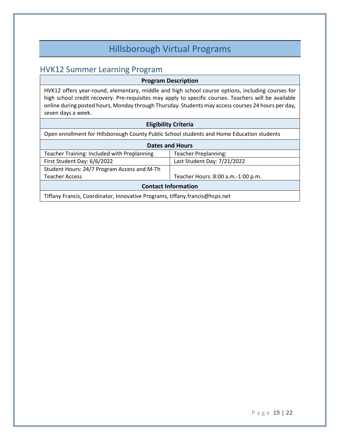### Hillsborough Virtual Programs

### <span id="page-22-1"></span><span id="page-22-0"></span>HVK12 Summer Learning Program

#### **Program Description**

HVK12 offers year-round, elementary, middle and high school course options, including courses for high school credit recovery. Pre-requisites may apply to specific courses. Teachers will be available online during posted hours, Monday through Thursday. Students may access courses 24 hours per day, seven days a week.

#### **Eligibility Criteria**

Open enrollment for Hillsborough County Public School students and Home Education students

| <b>Dates and Hours</b>                      |                                    |  |
|---------------------------------------------|------------------------------------|--|
| Teacher Training: Included with Preplanning | <b>Teacher Preplanning:</b>        |  |
| First Student Day: 6/6/2022                 | Last Student Day: 7/21/2022        |  |
| Student Hours: 24/7 Program Access and M-Th |                                    |  |
| <b>Teacher Access</b>                       | Teacher Hours: 8:00 a.m.-1:00 p.m. |  |
| <b>Contact Information</b>                  |                                    |  |

Tiffany Francis, Coordinator, Innovative Programs, tiffany.francis@hcps.net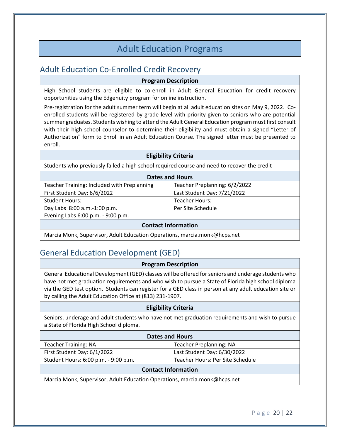### Adult Education Programs

### <span id="page-23-1"></span><span id="page-23-0"></span>Adult Education Co-Enrolled Credit Recovery

#### **Program Description**

High School students are eligible to co-enroll in Adult General Education for credit recovery opportunities using the Edgenuity program for online instruction.

Pre-registration for the adult summer term will begin at all adult education sites on May 9, 2022. Coenrolled students will be registered by grade level with priority given to seniors who are potential summer graduates. Students wishing to attend the Adult General Education program must first consult with their high school counselor to determine their eligibility and must obtain a signed "Letter of Authorization" form to Enroll in an Adult Education Course. The signed letter must be presented to enroll.

#### **Eligibility Criteria**

Students who previously failed a high school required course and need to recover the credit

| <b>Dates and Hours</b>                      |                               |
|---------------------------------------------|-------------------------------|
| Teacher Training: Included with Preplanning | Teacher Preplanning: 6/2/2022 |
| First Student Day: 6/6/2022                 | Last Student Day: 7/21/2022   |
| <b>Student Hours:</b>                       | Teacher Hours:                |
| Day Labs 8:00 a.m.-1:00 p.m.                | Per Site Schedule             |
| Evening Labs 6:00 p.m. - 9:00 p.m.          |                               |
| <b>Contact Information</b>                  |                               |

Marcia Monk, Supervisor, Adult Education Operations, marcia.monk@hcps.net

### <span id="page-23-2"></span>General Education Development (GED)

#### **Program Description**

General Educational Development (GED) classes will be offered for seniors and underage students who have not met graduation requirements and who wish to pursue a State of Florida high school diploma via the GED test option. Students can register for a GED class in person at any adult education site or by calling the Adult Education Office at (813) 231-1907.

#### **Eligibility Criteria**

Seniors, underage and adult students who have not met graduation requirements and wish to pursue a State of Florida High School diploma.

| <b>Dates and Hours</b>                                                                                                                                                                                                                                                                                                                                                                                                                                       |                                  |
|--------------------------------------------------------------------------------------------------------------------------------------------------------------------------------------------------------------------------------------------------------------------------------------------------------------------------------------------------------------------------------------------------------------------------------------------------------------|----------------------------------|
| <b>Teacher Training: NA</b>                                                                                                                                                                                                                                                                                                                                                                                                                                  | <b>Teacher Preplanning: NA</b>   |
| First Student Day: 6/1/2022                                                                                                                                                                                                                                                                                                                                                                                                                                  | Last Student Day: 6/30/2022      |
| Student Hours: 6:00 p.m. - 9:00 p.m.                                                                                                                                                                                                                                                                                                                                                                                                                         | Teacher Hours: Per Site Schedule |
| <b>Contact Information</b>                                                                                                                                                                                                                                                                                                                                                                                                                                   |                                  |
| $\mathbf{a} \cdot \mathbf{a} = \mathbf{a} \cdot \mathbf{a} = \mathbf{a} \cdot \mathbf{a} + \mathbf{a} \cdot \mathbf{a} + \mathbf{a} \cdot \mathbf{a} + \mathbf{a} \cdot \mathbf{a} + \mathbf{a} \cdot \mathbf{a} + \mathbf{a} \cdot \mathbf{a} + \mathbf{a} \cdot \mathbf{a} + \mathbf{a} \cdot \mathbf{a} + \mathbf{a} \cdot \mathbf{a} + \mathbf{a} \cdot \mathbf{a} + \mathbf{a} \cdot \mathbf{a} + \mathbf{a} \cdot \mathbf{a} + \mathbf{a} \cdot \math$ |                                  |

Marcia Monk, Supervisor, Adult Education Operations, marcia.monk@hcps.net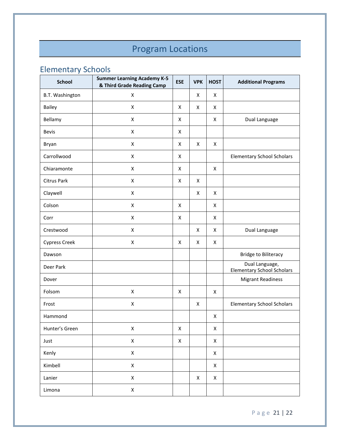## Program Locations

### <span id="page-24-1"></span><span id="page-24-0"></span>Elementary Schools

| <b>School</b>        | <b>Summer Learning Academy K-5</b><br>& Third Grade Reading Camp | <b>ESE</b>         | <b>VPK</b>         | <b>HOST</b>    | <b>Additional Programs</b>                          |
|----------------------|------------------------------------------------------------------|--------------------|--------------------|----------------|-----------------------------------------------------|
| B.T. Washington      | X                                                                |                    | X                  | X              |                                                     |
| Bailey               | $\pmb{\mathsf{X}}$                                               | X                  | $\pmb{\mathsf{X}}$ | X              |                                                     |
| Bellamy              | X                                                                | X                  |                    | X              | Dual Language                                       |
| <b>Bevis</b>         | X                                                                | X                  |                    |                |                                                     |
| Bryan                | X                                                                | X                  | X                  | X              |                                                     |
| Carrollwood          | X                                                                | X                  |                    |                | <b>Elementary School Scholars</b>                   |
| Chiaramonte          | X                                                                | X                  |                    | X              |                                                     |
| Citrus Park          | X                                                                | X                  | $\pmb{\mathsf{X}}$ |                |                                                     |
| Claywell             | $\pmb{\mathsf{X}}$                                               |                    | $\pmb{\mathsf{X}}$ | X              |                                                     |
| Colson               | $\pmb{\times}$                                                   | X                  |                    | X              |                                                     |
| Corr                 | X                                                                | X                  |                    | X              |                                                     |
| Crestwood            | X                                                                |                    | X                  | X              | Dual Language                                       |
| <b>Cypress Creek</b> | X                                                                | X                  | X                  | X              |                                                     |
| Dawson               |                                                                  |                    |                    |                | <b>Bridge to Biliteracy</b>                         |
| Deer Park            |                                                                  |                    |                    |                | Dual Language,<br><b>Elementary School Scholars</b> |
| Dover                |                                                                  |                    |                    |                | <b>Migrant Readiness</b>                            |
| Folsom               | X                                                                | X                  |                    | X              |                                                     |
| Frost                | $\mathsf X$                                                      |                    | $\pmb{\mathsf{X}}$ |                | <b>Elementary School Scholars</b>                   |
| Hammond              |                                                                  |                    |                    | X              |                                                     |
| Hunter's Green       | $\mathsf X$                                                      | $\pmb{\mathsf{X}}$ |                    | X              |                                                     |
| Just                 | $\mathsf X$                                                      | $\mathsf X$        |                    | $\pmb{\times}$ |                                                     |
| Kenly                | $\mathsf X$                                                      |                    |                    | X              |                                                     |
| Kimbell              | $\mathsf X$                                                      |                    |                    | X              |                                                     |
| Lanier               | $\pmb{\mathsf{X}}$                                               |                    | X                  | X              |                                                     |
| Limona               | $\mathsf X$                                                      |                    |                    |                |                                                     |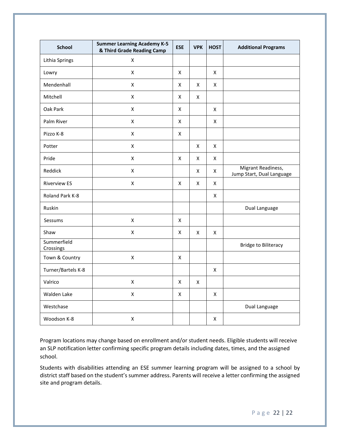| <b>School</b>            | <b>Summer Learning Academy K-5</b><br>& Third Grade Reading Camp | <b>ESE</b>         | <b>VPK</b>         | <b>HOST</b>    | <b>Additional Programs</b>                      |
|--------------------------|------------------------------------------------------------------|--------------------|--------------------|----------------|-------------------------------------------------|
| Lithia Springs           | $\pmb{\times}$                                                   |                    |                    |                |                                                 |
| Lowry                    | $\mathsf{X}$                                                     | $\pmb{\mathsf{X}}$ |                    | $\pmb{\times}$ |                                                 |
| Mendenhall               | $\pmb{\mathsf{X}}$                                               | $\pmb{\mathsf{X}}$ | $\pmb{\mathsf{X}}$ | X              |                                                 |
| Mitchell                 | $\pmb{\times}$                                                   | $\pmb{\mathsf{X}}$ | Χ                  |                |                                                 |
| Oak Park                 | $\pmb{\times}$                                                   | $\pmb{\mathsf{X}}$ |                    | Χ              |                                                 |
| Palm River               | $\mathsf{x}$                                                     | $\pmb{\mathsf{X}}$ |                    | $\pmb{\times}$ |                                                 |
| Pizzo K-8                | $\pmb{\times}$                                                   | $\pmb{\mathsf{X}}$ |                    |                |                                                 |
| Potter                   | $\mathsf{x}$                                                     |                    | $\pmb{\mathsf{X}}$ | $\pmb{\times}$ |                                                 |
| Pride                    | $\mathsf{x}$                                                     | X                  | X                  | X              |                                                 |
| Reddick                  | X                                                                |                    | Χ                  | $\pmb{\times}$ | Migrant Readiness,<br>Jump Start, Dual Language |
| <b>Riverview ES</b>      | $\pmb{\mathsf{X}}$                                               | X                  | X                  | $\mathsf{x}$   |                                                 |
| Roland Park K-8          |                                                                  |                    |                    | X              |                                                 |
| Ruskin                   |                                                                  |                    |                    |                | Dual Language                                   |
| Sessums                  | $\mathsf{x}$                                                     | X                  |                    |                |                                                 |
| Shaw                     | $\pmb{\times}$                                                   | X                  | X                  | X              |                                                 |
| Summerfield<br>Crossings |                                                                  |                    |                    |                | <b>Bridge to Biliteracy</b>                     |
| Town & Country           | $\pmb{\times}$                                                   | $\pmb{\mathsf{X}}$ |                    |                |                                                 |
| Turner/Bartels K-8       |                                                                  |                    |                    | $\pmb{\times}$ |                                                 |
| Valrico                  | $\mathsf{x}$                                                     | X                  | X                  |                |                                                 |
| Walden Lake              | $\pmb{\mathsf{X}}$                                               | X                  |                    | X              |                                                 |
| Westchase                |                                                                  |                    |                    |                | Dual Language                                   |
| Woodson K-8              | $\pmb{\mathsf{X}}$                                               |                    |                    | X              |                                                 |

Program locations may change based on enrollment and/or student needs. Eligible students will receive an SLP notification letter confirming specific program details including dates, times, and the assigned school.

Students with disabilities attending an ESE summer learning program will be assigned to a school by district staff based on the student's summer address. Parents will receive a letter confirming the assigned site and program details.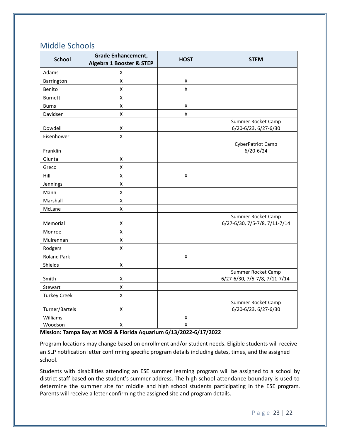### <span id="page-26-0"></span>Middle Schools

| <b>School</b>       | <b>Grade Enhancement,</b><br><b>Algebra 1 Booster &amp; STEP</b> | <b>HOST</b>        | <b>STEM</b>                                         |
|---------------------|------------------------------------------------------------------|--------------------|-----------------------------------------------------|
| Adams               | Χ                                                                |                    |                                                     |
| Barrington          | $\pmb{\mathsf{X}}$                                               | $\pmb{\times}$     |                                                     |
| Benito              | $\pmb{\mathsf{X}}$                                               | $\pmb{\mathsf{X}}$ |                                                     |
| <b>Burnett</b>      | $\pmb{\mathsf{X}}$                                               |                    |                                                     |
| <b>Burns</b>        | $\pmb{\mathsf{X}}$                                               | $\pmb{\mathsf{X}}$ |                                                     |
| Davidsen            | $\mathsf X$                                                      | $\pmb{\mathsf{X}}$ |                                                     |
| Dowdell             | $\pmb{\mathsf{X}}$                                               |                    | Summer Rocket Camp<br>6/20-6/23, 6/27-6/30          |
| Eisenhower          | $\pmb{\times}$                                                   |                    |                                                     |
| Franklin            |                                                                  |                    | CyberPatriot Camp<br>$6/20 - 6/24$                  |
| Giunta              | $\pmb{\mathsf{X}}$                                               |                    |                                                     |
| Greco               | $\pmb{\mathsf{X}}$                                               |                    |                                                     |
| Hill                | $\pmb{\mathsf{X}}$                                               | $\pmb{\mathsf{X}}$ |                                                     |
| Jennings            | $\pmb{\mathsf{X}}$                                               |                    |                                                     |
| Mann                | $\pmb{\mathsf{X}}$                                               |                    |                                                     |
| Marshall            | $\pmb{\mathsf{X}}$                                               |                    |                                                     |
| McLane              | X                                                                |                    |                                                     |
| Memorial            | $\pmb{\mathsf{X}}$                                               |                    | Summer Rocket Camp<br>6/27-6/30, 7/5-7/8, 7/11-7/14 |
| Monroe              | $\pmb{\mathsf{X}}$                                               |                    |                                                     |
| Mulrennan           | $\pmb{\mathsf{X}}$                                               |                    |                                                     |
| Rodgers             | $\pmb{\mathsf{X}}$                                               |                    |                                                     |
| <b>Roland Park</b>  |                                                                  | $\pmb{\mathsf{X}}$ |                                                     |
| Shields             | X                                                                |                    |                                                     |
| Smith               | X                                                                |                    | Summer Rocket Camp<br>6/27-6/30, 7/5-7/8, 7/11-7/14 |
| Stewart             | $\pmb{\mathsf{X}}$                                               |                    |                                                     |
| <b>Turkey Creek</b> | $\pmb{\mathsf{X}}$                                               |                    |                                                     |
| Turner/Bartels      | Χ                                                                |                    | Summer Rocket Camp<br>6/20-6/23, 6/27-6/30          |
| Williams            |                                                                  | $\pmb{\mathsf{X}}$ |                                                     |
| Woodson             | $\pmb{\mathsf{X}}$                                               | $\pmb{\mathsf{X}}$ |                                                     |

**Mission: Tampa Bay at MOSI & Florida Aquarium 6/13/2022-6/17/2022**

Program locations may change based on enrollment and/or student needs. Eligible students will receive an SLP notification letter confirming specific program details including dates, times, and the assigned school.

Students with disabilities attending an ESE summer learning program will be assigned to a school by district staff based on the student's summer address. The high school attendance boundary is used to determine the summer site for middle and high school students participating in the ESE program. Parents will receive a letter confirming the assigned site and program details.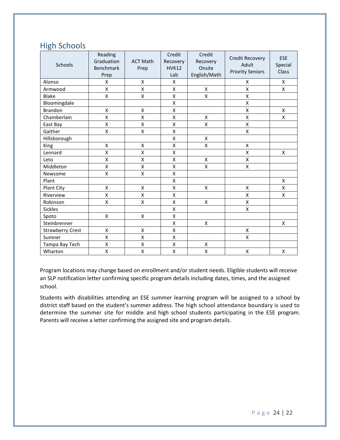### <span id="page-27-0"></span>High Schools

| Schools                 | Reading<br>Graduation<br><b>Benchmark</b><br>Prep | <b>ACT Math</b><br>Prep | Credit<br>Recovery<br><b>HVK12</b><br>Lab | Credit<br>Recovery<br>Onsite<br>English/Math | <b>Credit Recovery</b><br>Adult<br><b>Priority Seniors</b> | <b>ESE</b><br>Special<br>Class |
|-------------------------|---------------------------------------------------|-------------------------|-------------------------------------------|----------------------------------------------|------------------------------------------------------------|--------------------------------|
| Alonso                  | X                                                 | X                       | X                                         |                                              | X                                                          | X                              |
| Armwood                 | Χ                                                 | $\pmb{\mathsf{X}}$      | X                                         | Χ                                            | Χ                                                          | Χ                              |
| <b>Blake</b>            | X                                                 | X                       | X                                         | X                                            | Χ                                                          |                                |
| Bloomingdale            |                                                   |                         | X                                         |                                              | Χ                                                          |                                |
| <b>Brandon</b>          | X                                                 | X                       | X                                         |                                              | X                                                          | $\mathsf{x}$                   |
| Chamberlain             | $\mathsf{X}$                                      | X                       | X                                         | X                                            | X                                                          | X                              |
| East Bay                | X                                                 | X                       | X                                         | Χ                                            | Χ                                                          |                                |
| Gaither                 | X                                                 | X                       | X                                         |                                              | X                                                          |                                |
| Hillsborough            |                                                   |                         | X                                         | $\pmb{\mathsf{X}}$                           |                                                            |                                |
| King                    | $\pmb{\mathsf{X}}$                                | Χ                       | X                                         | X                                            | Χ                                                          |                                |
| Lennard                 | X                                                 | Χ                       | X                                         |                                              | Χ                                                          | X                              |
| Leto                    | X                                                 | X                       | X                                         | X                                            | Χ                                                          |                                |
| Middleton               | X                                                 | X                       | X                                         | X                                            | X                                                          |                                |
| Newsome                 | X                                                 | X                       | X                                         |                                              |                                                            |                                |
| Plant                   |                                                   |                         | X                                         |                                              |                                                            | $\pmb{\mathsf{X}}$             |
| Plant City              | X                                                 | X                       | X                                         | Χ                                            | Χ                                                          | X                              |
| Riverview               | X                                                 | X                       | X                                         |                                              | Χ                                                          | X                              |
| Robinson                | Χ                                                 | Χ                       | X                                         | $\pmb{\mathsf{X}}$                           | Χ                                                          |                                |
| <b>Sickles</b>          |                                                   |                         | Χ                                         |                                              | Χ                                                          |                                |
| Spoto                   | X                                                 | X                       | X                                         |                                              |                                                            |                                |
| Steinbrenner            |                                                   |                         | X                                         | $\pmb{\mathsf{X}}$                           |                                                            | X                              |
| <b>Strawberry Crest</b> | $\pmb{\mathsf{X}}$                                | X                       | X                                         |                                              | X                                                          |                                |
| Sumner                  | X                                                 | X                       | X                                         |                                              | X                                                          |                                |
| Tampa Bay Tech          | Χ                                                 | X                       | Χ                                         | X                                            |                                                            |                                |
| Wharton                 | X                                                 | X                       | X                                         | X                                            | X                                                          | X                              |

Program locations may change based on enrollment and/or student needs. Eligible students will receive an SLP notification letter confirming specific program details including dates, times, and the assigned school.

Students with disabilities attending an ESE summer learning program will be assigned to a school by district staff based on the student's summer address. The high school attendance boundary is used to determine the summer site for middle and high school students participating in the ESE program. Parents will receive a letter confirming the assigned site and program details.